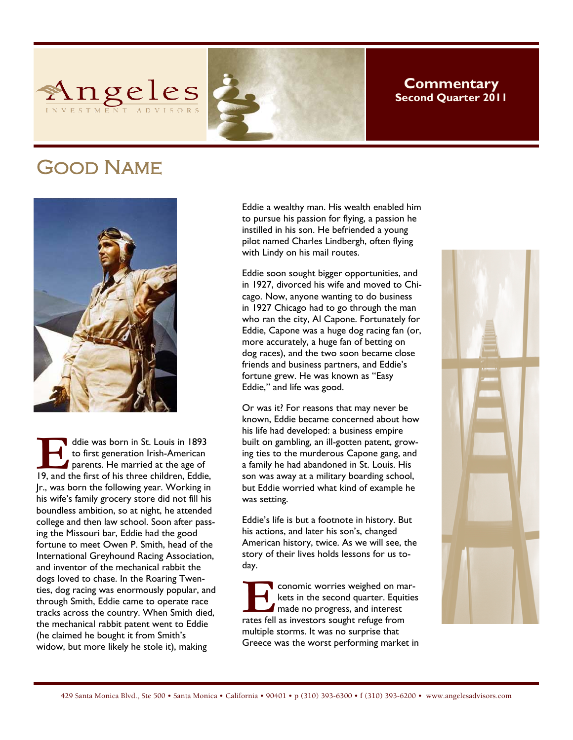

# **Commentary Second Quarter 2011**

# Good Name



ddie was born in St. Louis in 1893<br>to first generation Irish-American<br>parents. He married at the age of<br>19, and the first of his three children, Eddie, to first generation Irish-American parents. He married at the age of Jr., was born the following year. Working in his wife's family grocery store did not fill his boundless ambition, so at night, he attended college and then law school. Soon after passing the Missouri bar, Eddie had the good fortune to meet Owen P. Smith, head of the International Greyhound Racing Association, and inventor of the mechanical rabbit the dogs loved to chase. In the Roaring Twenties, dog racing was enormously popular, and through Smith, Eddie came to operate race tracks across the country. When Smith died, the mechanical rabbit patent went to Eddie (he claimed he bought it from Smith's widow, but more likely he stole it), making

Eddie a wealthy man. His wealth enabled him to pursue his passion for flying, a passion he instilled in his son. He befriended a young pilot named Charles Lindbergh, often flying with Lindy on his mail routes.

Eddie soon sought bigger opportunities, and in 1927, divorced his wife and moved to Chicago. Now, anyone wanting to do business in 1927 Chicago had to go through the man who ran the city, Al Capone. Fortunately for Eddie, Capone was a huge dog racing fan (or, more accurately, a huge fan of betting on dog races), and the two soon became close friends and business partners, and Eddie's fortune grew. He was known as "Easy Eddie," and life was good.

Or was it? For reasons that may never be known, Eddie became concerned about how his life had developed: a business empire built on gambling, an ill-gotten patent, growing ties to the murderous Capone gang, and a family he had abandoned in St. Louis. His son was away at a military boarding school, but Eddie worried what kind of example he was setting.

Eddie's life is but a footnote in history. But his actions, and later his son's, changed American history, twice. As we will see, the story of their lives holds lessons for us today.

**E E 2018** conomic worries weighed on markets in the second quarter. Equities made no progress, and interest rates fell as investors sought refuge from kets in the second quarter. Equities  $\blacksquare$  made no progress, and interest multiple storms. It was no surprise that Greece was the worst performing market in

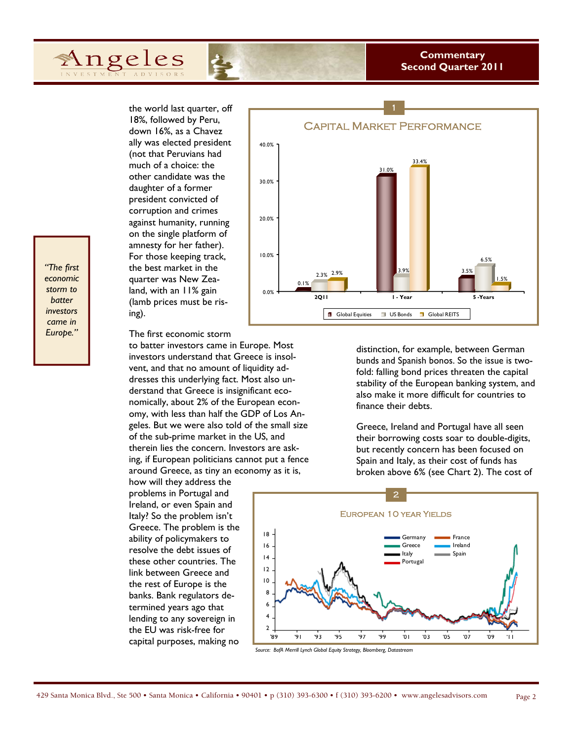## **Commentary Second Quarter 2011**

the world last quarter, off 18%, followed by Peru, down 16%, as a Chavez ally was elected president (not that Peruvians had much of a choice: the other candidate was the daughter of a former president convicted of corruption and crimes against humanity, running on the single platform of amnesty for her father). For those keeping track, the best market in the quarter was New Zealand, with an 11% gain (lamb prices must be rising).

Angeles

The first economic storm

to batter investors came in Europe. Most investors understand that Greece is insolvent, and that no amount of liquidity addresses this underlying fact. Most also understand that Greece is insignificant economically, about 2% of the European economy, with less than half the GDP of Los Angeles. But we were also told of the small size of the sub-prime market in the US, and therein lies the concern. Investors are asking, if European politicians cannot put a fence around Greece, as tiny an economy as it is,

how will they address the problems in Portugal and Ireland, or even Spain and Italy? So the problem isn't Greece. The problem is the ability of policymakers to resolve the debt issues of these other countries. The link between Greece and the rest of Europe is the banks. Bank regulators determined years ago that lending to any sovereign in the EU was risk-free for capital purposes, making no

![](_page_1_Figure_5.jpeg)

distinction, for example, between German bunds and Spanish bonos. So the issue is twofold: falling bond prices threaten the capital stability of the European banking system, and also make it more difficult for countries to finance their debts.

Greece, Ireland and Portugal have all seen their borrowing costs soar to double-digits, but recently concern has been focused on Spain and Italy, as their cost of funds has broken above 6% (see Chart 2). The cost of

![](_page_1_Figure_8.jpeg)

*Source: BofA Merrill Lynch Global Equity Strategy, Bloomberg, Datastream* 

*"The first economic storm to batter investors came in Europe."*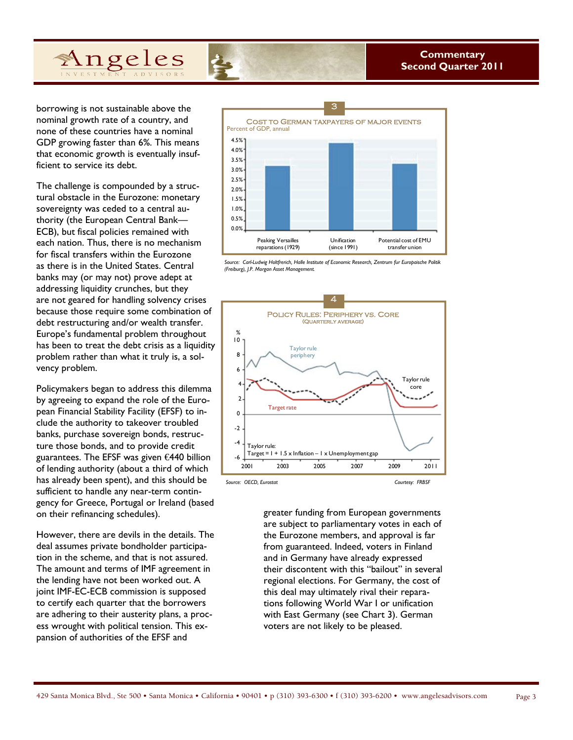borrowing is not sustainable above the nominal growth rate of a country, and none of these countries have a nominal GDP growing faster than 6%. This means that economic growth is eventually insufficient to service its debt.

The challenge is compounded by a structural obstacle in the Eurozone: monetary sovereignty was ceded to a central authority (the European Central Bank— ECB), but fiscal policies remained with each nation. Thus, there is no mechanism for fiscal transfers within the Eurozone as there is in the United States. Central banks may (or may not) prove adept at addressing liquidity crunches, but they are not geared for handling solvency crises because those require some combination of debt restructuring and/or wealth transfer. Europe's fundamental problem throughout has been to treat the debt crisis as a liquidity problem rather than what it truly is, a solvency problem.

Policymakers began to address this dilemma by agreeing to expand the role of the European Financial Stability Facility (EFSF) to include the authority to takeover troubled banks, purchase sovereign bonds, restructure those bonds, and to provide credit guarantees. The EFSF was given €440 billion of lending authority (about a third of which has already been spent), and this should be sufficient to handle any near-term contingency for Greece, Portugal or Ireland (based on their refinancing schedules).

However, there are devils in the details. The deal assumes private bondholder participation in the scheme, and that is not assured. The amount and terms of IMF agreement in the lending have not been worked out. A joint IMF-EC-ECB commission is supposed to certify each quarter that the borrowers are adhering to their austerity plans, a process wrought with political tension. This expansion of authorities of the EFSF and

![](_page_2_Figure_6.jpeg)

*Source: Carl-Ludwig Holtfrerich, Halle Institute of Economic Research, Zentrum fur Europaische Politik (Freiburg), J.P. Morgan Asset Management.* 

![](_page_2_Figure_8.jpeg)

greater funding from European governments are subject to parliamentary votes in each of the Eurozone members, and approval is far from guaranteed. Indeed, voters in Finland and in Germany have already expressed their discontent with this "bailout" in several regional elections. For Germany, the cost of this deal may ultimately rival their reparations following World War I or unification with East Germany (see Chart 3). German voters are not likely to be pleased.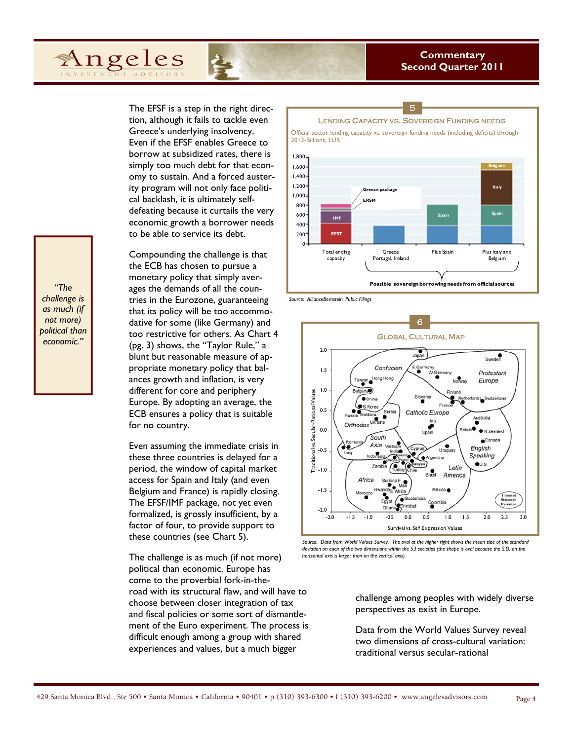The EFSF is a step in the right direction, although it fails to tackle even Greece's underlying insolvency. Even if the EFSF enables Greece to borrow at subsidized rates, there is simply too much debt for that economy to sustain. And a forced austerity program will not only face political backlash, it is ultimately selfdefeating because it curtails the very economic growth a borrower needs to be able to service its debt.

Compounding the challenge is that the ECB has chosen to pursue a monetary policy that simply averages the demands of all the countries in the Eurozone, guaranteeing that its policy will be too accommodative for some (like Germany) and too restrictive for others. As Chart 4 (pg. 3) shows, the "Taylor Rule," a blunt but reasonable measure of appropriate monetary policy that balances growth and inflation, is very different for core and periphery Europe. By adopting an average, the ECB ensures a policy that is suitable for no country.

Even assuming the immediate crisis in these three countries is delayed for a period, the window of capital market access for Spain and Italy (and even Belgium and France) is rapidly closing. The EFSF/IMF package, not yet even formalized, is grossly insufficient, by a factor of four, to provide support to these countries (see Chart 5).

The challenge is as much (if not more) political than economic. Europe has come to the proverbial fork-in-theroad with its structural flaw, and will have to choose between closer integration of tax and fiscal policies or some sort of dismantlement of the Euro experiment. The process is difficult enough among a group with shared experiences and values, but a much bigger

![](_page_3_Figure_6.jpeg)

#### *Source: AllianceBernstein, Public Filings*

![](_page_3_Figure_8.jpeg)

*Source: Data from World Values Survey. The oval at the higher right shows the mean size of the standard deviation on each of the two dimensions within the 53 societies (the shape is oval because the S.D. on the horizontal axis is larger than on the vertical axis).* 

challenge among peoples with widely diverse perspectives as exist in Europe.

Data from the World Values Survey reveal two dimensions of cross-cultural variation: traditional versus secular-rational

*"The challenge is as much (if not more) political than economic."*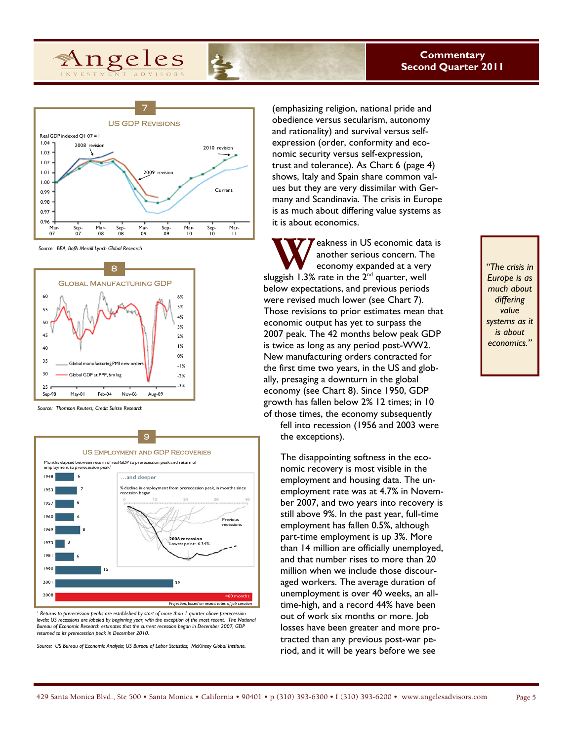![](_page_4_Figure_1.jpeg)

*Source: BEA, BofA Merrill Lynch Global Research* 

![](_page_4_Figure_3.jpeg)

*Source: Thomson Reuters, Credit Suisse Research* 

![](_page_4_Figure_5.jpeg)

<sup>1</sup> Returns to prerecession peaks are established by start of more than 1 quarter above prerecession *levels; US recessions are labeled by beginning year, with the exception of the most recent. The National Bureau of Economic Research estimates that the current recession began in December 2007, GDP returned to its prerecession peak in December 2010.* 

*Source: US Bureau of Economic Analysis; US Bureau of Labor Statistics; McKinsey Global Institute.*

(emphasizing religion, national pride and obedience versus secularism, autonomy and rationality) and survival versus selfexpression (order, conformity and economic security versus self-expression, trust and tolerance). As Chart 6 (page 4) shows, Italy and Spain share common values but they are very dissimilar with Germany and Scandinavia. The crisis in Europe is as much about differing value systems as it is about economics.

**W** eakness in US economic data is<br>
another serious concern. The<br>
sluggish 1.3% rate in the 2<sup>nd</sup> quarter, well another serious concern. The economy expanded at a very below expectations, and previous periods were revised much lower (see Chart 7). Those revisions to prior estimates mean that economic output has yet to surpass the 2007 peak. The 42 months below peak GDP is twice as long as any period post-WW2. New manufacturing orders contracted for the first time two years, in the US and globally, presaging a downturn in the global economy (see Chart 8). Since 1950, GDP growth has fallen below 2% 12 times; in 10 of those times, the economy subsequently

fell into recession (1956 and 2003 were the exceptions).

The disappointing softness in the economic recovery is most visible in the employment and housing data. The unemployment rate was at 4.7% in November 2007, and two years into recovery is still above 9%. In the past year, full-time employment has fallen 0.5%, although part-time employment is up 3%. More than 14 million are officially unemployed, and that number rises to more than 20 million when we include those discouraged workers. The average duration of unemployment is over 40 weeks, an alltime-high, and a record 44% have been out of work six months or more. Job losses have been greater and more protracted than any previous post-war period, and it will be years before we see

# *"The crisis in Europe is as much about differing value systems as it is about economics."*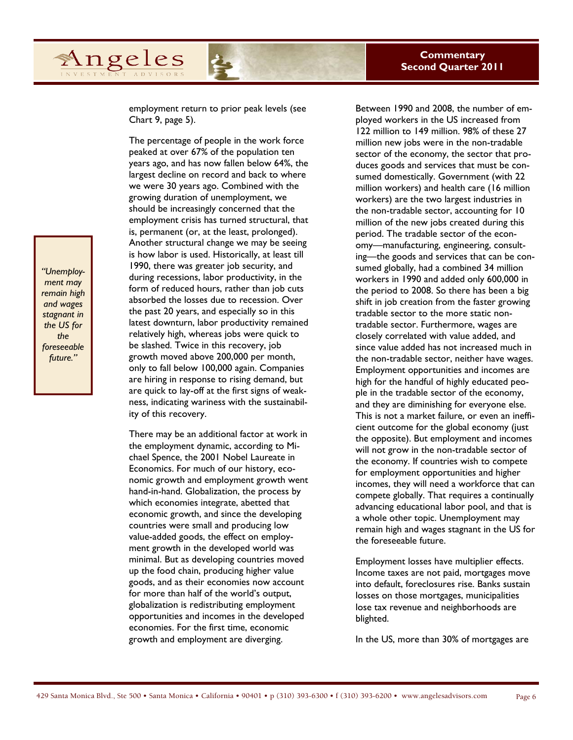employment return to prior peak levels (see Chart 9, page 5).

The percentage of people in the work force peaked at over 67% of the population ten years ago, and has now fallen below 64%, the largest decline on record and back to where we were 30 years ago. Combined with the growing duration of unemployment, we should be increasingly concerned that the employment crisis has turned structural, that is, permanent (or, at the least, prolonged). Another structural change we may be seeing is how labor is used. Historically, at least till 1990, there was greater job security, and during recessions, labor productivity, in the form of reduced hours, rather than job cuts absorbed the losses due to recession. Over the past 20 years, and especially so in this latest downturn, labor productivity remained relatively high, whereas jobs were quick to be slashed. Twice in this recovery, job growth moved above 200,000 per month, only to fall below 100,000 again. Companies are hiring in response to rising demand, but are quick to lay-off at the first signs of weakness, indicating wariness with the sustainability of this recovery.

There may be an additional factor at work in the employment dynamic, according to Michael Spence, the 2001 Nobel Laureate in Economics. For much of our history, economic growth and employment growth went hand-in-hand. Globalization, the process by which economies integrate, abetted that economic growth, and since the developing countries were small and producing low value-added goods, the effect on employment growth in the developed world was minimal. But as developing countries moved up the food chain, producing higher value goods, and as their economies now account for more than half of the world's output, globalization is redistributing employment opportunities and incomes in the developed economies. For the first time, economic growth and employment are diverging.

Between 1990 and 2008, the number of employed workers in the US increased from 122 million to 149 million. 98% of these 27 million new jobs were in the non-tradable sector of the economy, the sector that produces goods and services that must be consumed domestically. Government (with 22 million workers) and health care (16 million workers) are the two largest industries in the non-tradable sector, accounting for 10 million of the new jobs created during this period. The tradable sector of the economy—manufacturing, engineering, consulting—the goods and services that can be consumed globally, had a combined 34 million workers in 1990 and added only 600,000 in the period to 2008. So there has been a big shift in job creation from the faster growing tradable sector to the more static nontradable sector. Furthermore, wages are closely correlated with value added, and since value added has not increased much in the non-tradable sector, neither have wages. Employment opportunities and incomes are high for the handful of highly educated people in the tradable sector of the economy, and they are diminishing for everyone else. This is not a market failure, or even an inefficient outcome for the global economy (just the opposite). But employment and incomes will not grow in the non-tradable sector of the economy. If countries wish to compete for employment opportunities and higher incomes, they will need a workforce that can compete globally. That requires a continually advancing educational labor pool, and that is a whole other topic. Unemployment may remain high and wages stagnant in the US for the foreseeable future.

Employment losses have multiplier effects. Income taxes are not paid, mortgages move into default, foreclosures rise. Banks sustain losses on those mortgages, municipalities lose tax revenue and neighborhoods are blighted.

In the US, more than 30% of mortgages are

*"Unemployment may remain high and wages stagnant in the US for the foreseeable future."* 

Angeles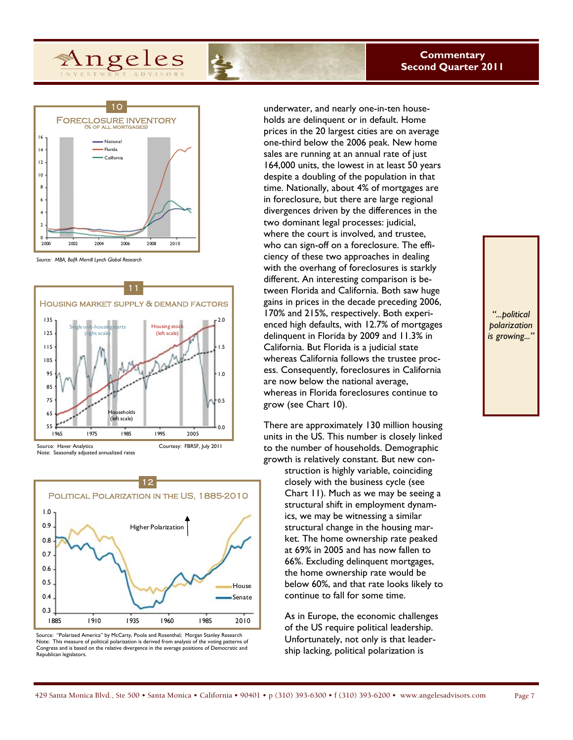![](_page_6_Figure_1.jpeg)

*Source: MBA, BofA Merrill Lynch Global Research* 

![](_page_6_Figure_3.jpeg)

![](_page_6_Figure_4.jpeg)

Source: "Polarized America" by McCarty, Poole and Rosenthal; Morgan Stanley Research Note: This measure of political polarization is derived from analysis of the voting patterns of Congress and is based on the relative divergence in the average positions of Democratic and Republican legislators.

underwater, and nearly one-in-ten households are delinquent or in default. Home prices in the 20 largest cities are on average one-third below the 2006 peak. New home sales are running at an annual rate of just 164,000 units, the lowest in at least 50 years despite a doubling of the population in that time. Nationally, about 4% of mortgages are in foreclosure, but there are large regional divergences driven by the differences in the two dominant legal processes: judicial, where the court is involved, and trustee, who can sign-off on a foreclosure. The efficiency of these two approaches in dealing with the overhang of foreclosures is starkly different. An interesting comparison is between Florida and California. Both saw huge gains in prices in the decade preceding 2006, 170% and 215%, respectively. Both experienced high defaults, with 12.7% of mortgages delinquent in Florida by 2009 and 11.3% in California. But Florida is a judicial state whereas California follows the trustee process. Consequently, foreclosures in California are now below the national average, whereas in Florida foreclosures continue to grow (see Chart 10).

There are approximately 130 million housing units in the US. This number is closely linked to the number of households. Demographic growth is relatively constant. But new con-

> struction is highly variable, coinciding closely with the business cycle (see Chart 11). Much as we may be seeing a structural shift in employment dynamics, we may be witnessing a similar structural change in the housing market. The home ownership rate peaked at 69% in 2005 and has now fallen to 66%. Excluding delinquent mortgages, the home ownership rate would be below 60%, and that rate looks likely to continue to fall for some time.

As in Europe, the economic challenges of the US require political leadership. Unfortunately, not only is that leadership lacking, political polarization is

*"...political polarization is growing..."*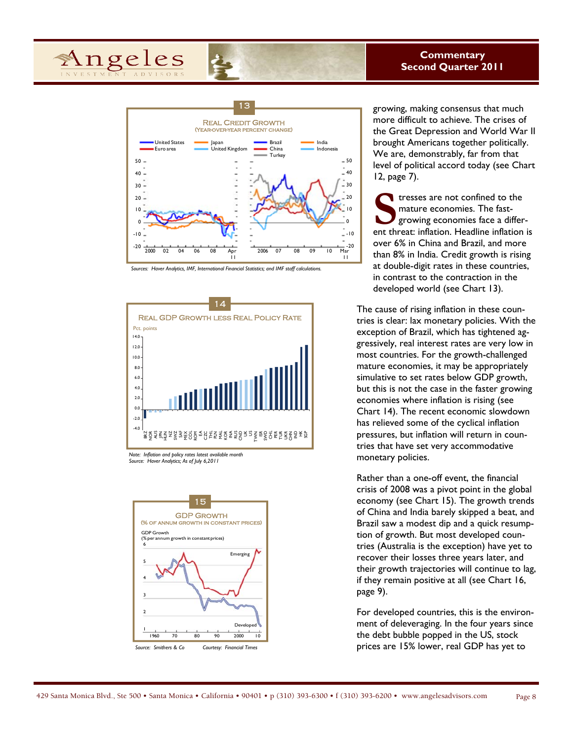![](_page_7_Picture_0.jpeg)

## **Commentary Second Quarter 2011**

![](_page_7_Figure_2.jpeg)

*Sources: Haver Analytics, IMF, International Financial Statistics; and IMF staff calculations.* 

![](_page_7_Figure_4.jpeg)

*Source: Haver Analytics; As of July 6,2011* 

![](_page_7_Figure_6.jpeg)

growing, making consensus that much more difficult to achieve. The crises of the Great Depression and World War II brought Americans together politically. We are, demonstrably, far from that level of political accord today (see Chart 12, page 7).

Stresses are not confined to the mature economies. The fast-<br>growing economies face a differ-<br>ent threat: inflation. Headline inflation is mature economies. The fastgrowing economies face a differover 6% in China and Brazil, and more than 8% in India. Credit growth is rising at double-digit rates in these countries, in contrast to the contraction in the developed world (see Chart 13).

The cause of rising inflation in these countries is clear: lax monetary policies. With the exception of Brazil, which has tightened aggressively, real interest rates are very low in most countries. For the growth-challenged mature economies, it may be appropriately simulative to set rates below GDP growth, but this is not the case in the faster growing economies where inflation is rising (see Chart 14). The recent economic slowdown has relieved some of the cyclical inflation pressures, but inflation will return in countries that have set very accommodative monetary policies.

Rather than a one-off event, the financial crisis of 2008 was a pivot point in the global economy (see Chart 15). The growth trends of China and India barely skipped a beat, and Brazil saw a modest dip and a quick resumption of growth. But most developed countries (Australia is the exception) have yet to recover their losses three years later, and their growth trajectories will continue to lag, if they remain positive at all (see Chart 16, page 9).

For developed countries, this is the environment of deleveraging. In the four years since the debt bubble popped in the US, stock prices are 15% lower, real GDP has yet to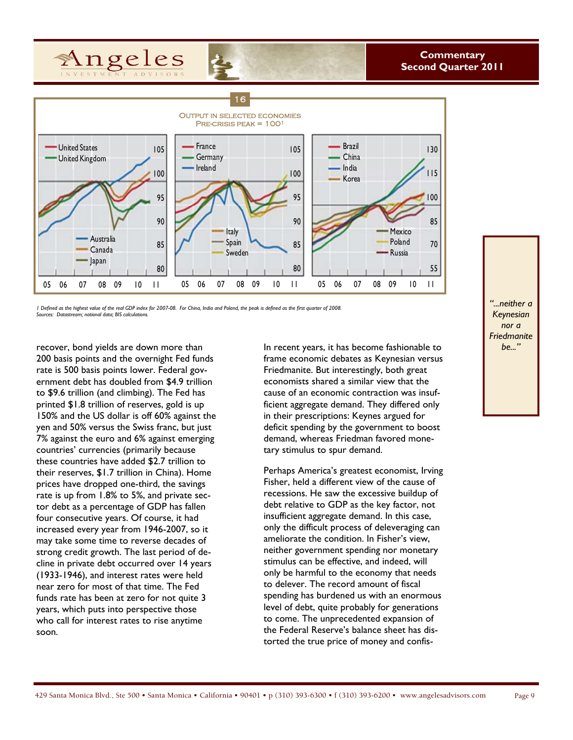![](_page_8_Picture_0.jpeg)

![](_page_8_Figure_2.jpeg)

*1 Defined as the highest value of the real GDP index for 2007-08. For China, India and Poland, the peak is defined as the first quarter of 2008. Sources: Datastream; national data; BIS calculations.* 

200 basis points and the overnight Fed funds rate is 500 basis points lower. Federal government debt has doubled from \$4.9 trillion to \$9.6 trillion (and climbing). The Fed has printed \$1.8 trillion of reserves, gold is up 150% and the US dollar is off 60% against the yen and 50% versus the Swiss franc, but just 7% against the euro and 6% against emerging countries' currencies (primarily because these countries have added \$2.7 trillion to their reserves, \$1.7 trillion in China). Home prices have dropped one-third, the savings rate is up from 1.8% to 5%, and private sector debt as a percentage of GDP has fallen four consecutive years. Of course, it had increased every year from 1946-2007, so it may take some time to reverse decades of strong credit growth. The last period of decline in private debt occurred over 14 years (1933-1946), and interest rates were held near zero for most of that time. The Fed funds rate has been at zero for not quite 3 years, which puts into perspective those who call for interest rates to rise anytime soon.

recover, bond yields are down more than **be..." In recent years, it has become fashionable to** frame economic debates as Keynesian versus Friedmanite. But interestingly, both great economists shared a similar view that the cause of an economic contraction was insufficient aggregate demand. They differed only in their prescriptions: Keynes argued for deficit spending by the government to boost demand, whereas Friedman favored monetary stimulus to spur demand.

> Perhaps America's greatest economist, Irving Fisher, held a different view of the cause of recessions. He saw the excessive buildup of debt relative to GDP as the key factor, not insufficient aggregate demand. In this case, only the difficult process of deleveraging can ameliorate the condition. In Fisher's view, neither government spending nor monetary stimulus can be effective, and indeed, will only be harmful to the economy that needs to delever. The record amount of fiscal spending has burdened us with an enormous level of debt, quite probably for generations to come. The unprecedented expansion of the Federal Reserve's balance sheet has distorted the true price of money and confis-

*"...neither a Keynesian nor a Friedmanite*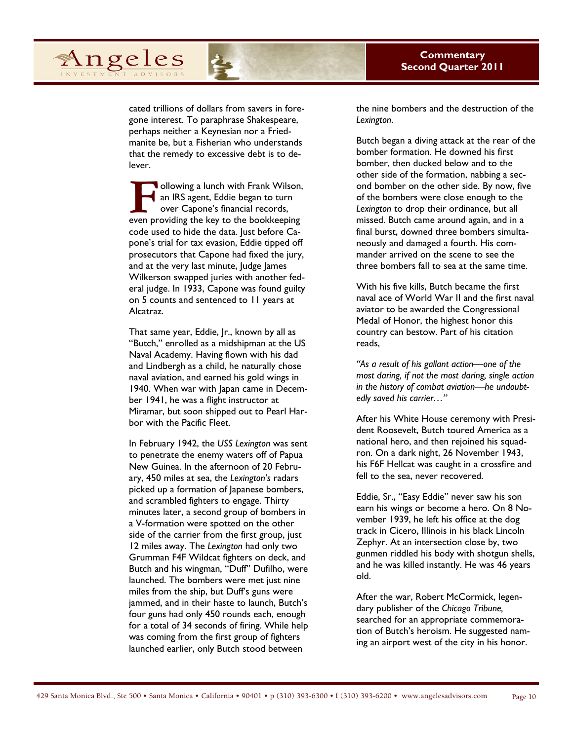cated trillions of dollars from savers in foregone interest. To paraphrase Shakespeare, perhaps neither a Keynesian nor a Friedmanite be, but a Fisherian who understands that the remedy to excessive debt is to delever.

Angeles

**F • Ollowing a lunch with Frank Wilson, an IRS agent, Eddie began to turn** over Capone's financial records, even providing the key to the bookkeeping an IRS agent, Eddie began to turn over Capone's financial records, code used to hide the data. Just before Capone's trial for tax evasion, Eddie tipped off prosecutors that Capone had fixed the jury, and at the very last minute, Judge James Wilkerson swapped juries with another federal judge. In 1933, Capone was found guilty on 5 counts and sentenced to 11 years at Alcatraz.

That same year, Eddie, Jr., known by all as "Butch," enrolled as a midshipman at the US Naval Academy. Having flown with his dad and Lindbergh as a child, he naturally chose naval aviation, and earned his gold wings in 1940. When war with Japan came in December 1941, he was a flight instructor at Miramar, but soon shipped out to Pearl Harbor with the Pacific Fleet.

In February 1942, the *USS Lexington* was sent to penetrate the enemy waters off of Papua New Guinea. In the afternoon of 20 February, 450 miles at sea, the *Lexington's* radars picked up a formation of Japanese bombers, and scrambled fighters to engage. Thirty minutes later, a second group of bombers in a V-formation were spotted on the other side of the carrier from the first group, just 12 miles away. The *Lexington* had only two Grumman F4F Wildcat fighters on deck, and Butch and his wingman, "Duff" Dufilho, were launched. The bombers were met just nine miles from the ship, but Duff's guns were jammed, and in their haste to launch, Butch's four guns had only 450 rounds each, enough for a total of 34 seconds of firing. While help was coming from the first group of fighters launched earlier, only Butch stood between

the nine bombers and the destruction of the *Lexington*.

Butch began a diving attack at the rear of the bomber formation. He downed his first bomber, then ducked below and to the other side of the formation, nabbing a second bomber on the other side. By now, five of the bombers were close enough to the *Lexington* to drop their ordinance, but all missed. Butch came around again, and in a final burst, downed three bombers simultaneously and damaged a fourth. His commander arrived on the scene to see the three bombers fall to sea at the same time.

With his five kills, Butch became the first naval ace of World War II and the first naval aviator to be awarded the Congressional Medal of Honor, the highest honor this country can bestow. Part of his citation reads,

*"As a result of his gallant action—one of the most daring, if not the most daring, single action in the history of combat aviation—he undoubtedly saved his carrier…"* 

After his White House ceremony with President Roosevelt, Butch toured America as a national hero, and then rejoined his squadron. On a dark night, 26 November 1943, his F6F Hellcat was caught in a crossfire and fell to the sea, never recovered.

Eddie, Sr., "Easy Eddie" never saw his son earn his wings or become a hero. On 8 November 1939, he left his office at the dog track in Cicero, Illinois in his black Lincoln Zephyr. At an intersection close by, two gunmen riddled his body with shotgun shells, and he was killed instantly. He was 46 years old.

After the war, Robert McCormick, legendary publisher of the *Chicago Tribune,* searched for an appropriate commemoration of Butch's heroism. He suggested naming an airport west of the city in his honor.